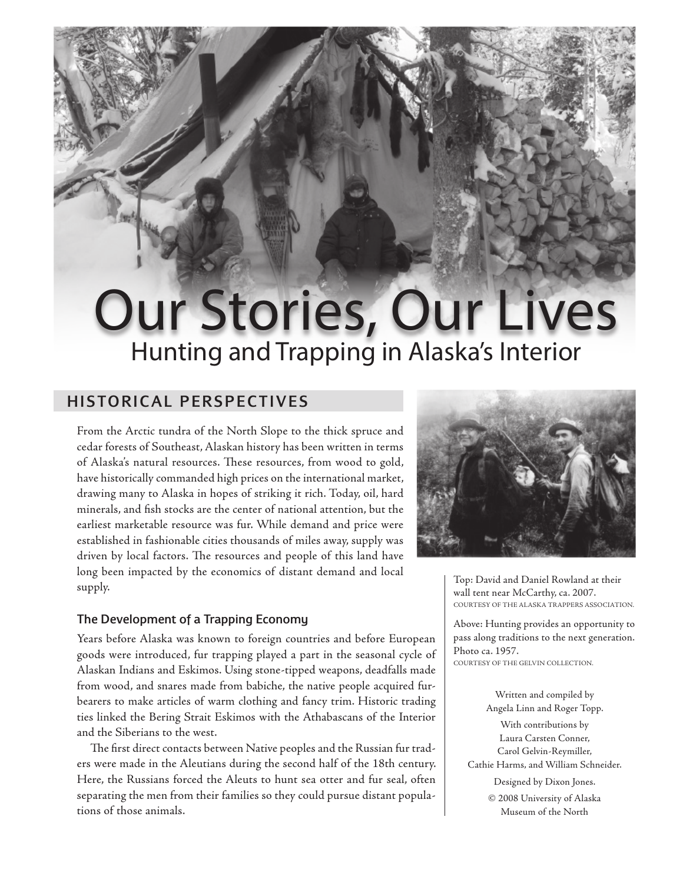# Our Stories, Our Lives Hunting and Trapping in Alaska's Interior

# HISTORICAL PERSPECTIVES

From the Arctic tundra of the North Slope to the thick spruce and cedar forests of Southeast, Alaskan history has been written in terms of Alaska's natural resources. These resources, from wood to gold, have historically commanded high prices on the international market, drawing many to Alaska in hopes of striking it rich. Today, oil, hard minerals, and fish stocks are the center of national attention, but the earliest marketable resource was fur. While demand and price were established in fashionable cities thousands of miles away, supply was driven by local factors. The resources and people of this land have long been impacted by the economics of distant demand and local supply.

## The Development of a Trapping Economy

Years before Alaska was known to foreign countries and before European goods were introduced, fur trapping played a part in the seasonal cycle of Alaskan Indians and Eskimos. Using stone-tipped weapons, deadfalls made from wood, and snares made from babiche, the native people acquired furbearers to make articles of warm clothing and fancy trim. Historic trading ties linked the Bering Strait Eskimos with the Athabascans of the Interior and the Siberians to the west.

The first direct contacts between Native peoples and the Russian fur traders were made in the Aleutians during the second half of the 18th century. Here, the Russians forced the Aleuts to hunt sea otter and fur seal, often separating the men from their families so they could pursue distant populations of those animals.



Top: David and Daniel Rowland at their wall tent near McCarthy, ca. 2007. COURTESY OF THE ALASKA TRAPPERS ASSOCIATION.

Above: Hunting provides an opportunity to pass along traditions to the next generation. Photo ca. 1957. COURTESY OF THE GELVIN COLLECTION.

> Written and compiled by Angela Linn and Roger Topp.

With contributions by Laura Carsten Conner, Carol Gelvin-Reymiller, Cathie Harms, and William Schneider. Designed by Dixon Jones. © 2008 University of Alaska

Museum of the North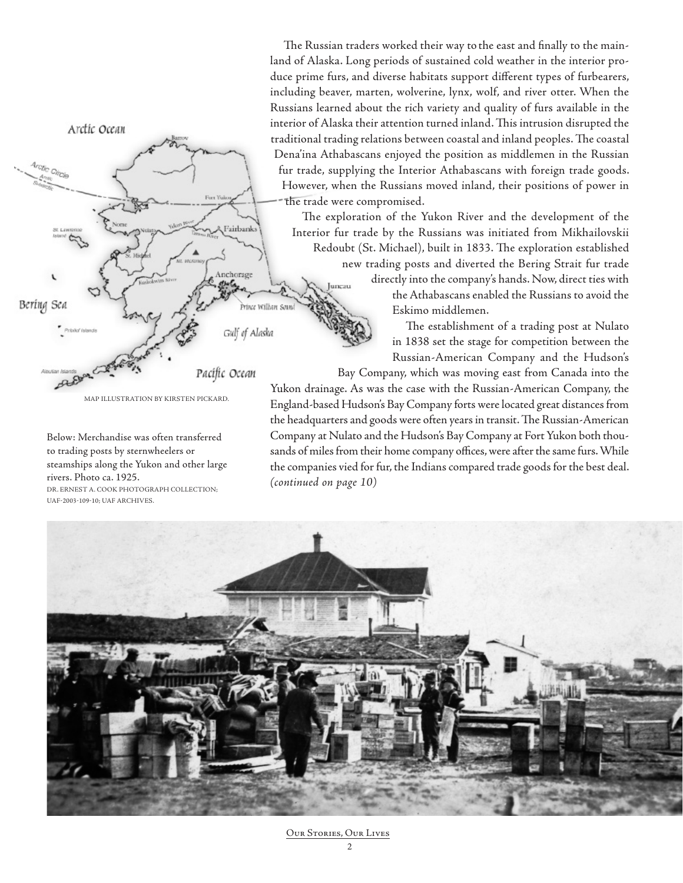The Russian traders worked their way to the east and finally to the mainland of Alaska. Long periods of sustained cold weather in the interior produce prime furs, and diverse habitats support different types of furbearers, including beaver, marten, wolverine, lynx, wolf, and river otter. When the Russians learned about the rich variety and quality of furs available in the interior of Alaska their attention turned inland. This intrusion disrupted the traditional trading relations between coastal and inland peoples. The coastal Dena'ina Athabascans enjoyed the position as middlemen in the Russian fur trade, supplying the Interior Athabascans with foreign trade goods. However, when the Russians moved inland, their positions of power in the trade were compromised.

The exploration of the Yukon River and the development of the Interior fur trade by the Russians was initiated from Mikhailovskii Redoubt (St. Michael), built in 1833. The exploration established new trading posts and diverted the Bering Strait fur trade directly into the company's hands. Now, direct ties with uncau the Athabascans enabled the Russians to avoid the Eskimo middlemen. The establishment of a trading post at Nulato

in 1838 set the stage for competition between the Russian-American Company and the Hudson's

Bay Company, which was moving east from Canada into the Yukon drainage. As was the case with the Russian-American Company, the England-based Hudson's Bay Company forts were located great distances from the headquarters and goods were often years in transit. The Russian-American Company at Nulato and the Hudson's Bay Company at Fort Yukon both thousands of miles from their home company offices, were after the same furs. While the companies vied for fur, the Indians compared trade goods for the best deal. *(continued on page 10)*



Below: Merchandise was often transferred to trading posts by sternwheelers or steamships along the Yukon and other large

MAP ILLUSTRATION BY KIRSTEN PICKARD.

Fairbank

Anchorage

Pacífic Ocean

.<br>Prince William Soun

Gulf of Alaska

DR. ERNEST A. COOK PHOTOGRAPH COLLECTION;

rivers. Photo ca. 1925.

Arctic Ocean

Arctic Cin

Bering Sea

UAF-2003-109-10; UAF ARCHIVES.

Our Stories, Our Lives

 $\overline{2}$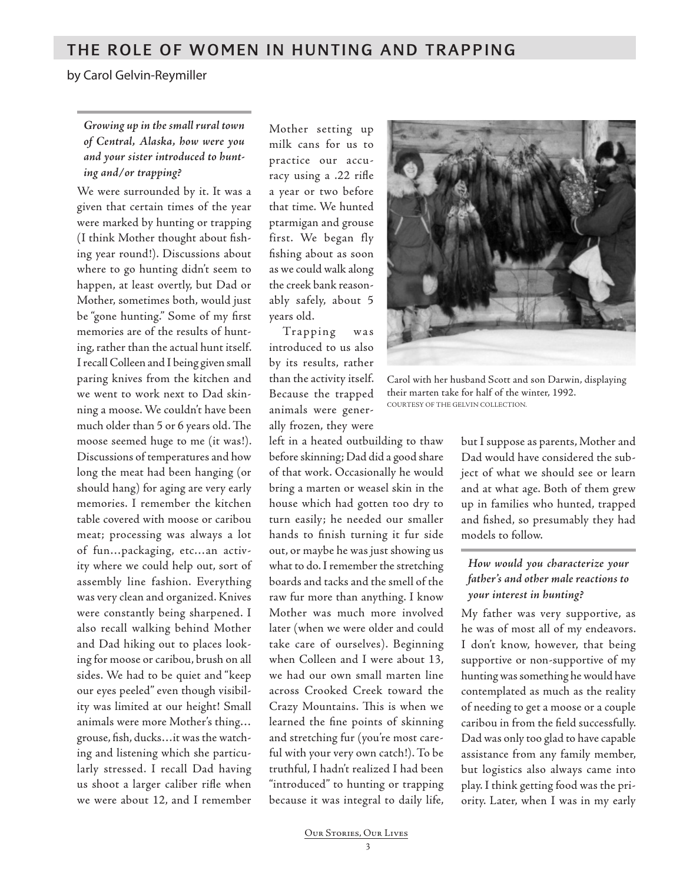## THE ROLE OF WOMEN IN HUNTING AND TRAPPING

by Carol Gelvin-Reymiller

## *Growing up in the small rural town of Central, Alaska, how were you and your sister introduced to hunting and/or trapping?*

We were surrounded by it. It was a given that certain times of the year were marked by hunting or trapping (I think Mother thought about fishing year round!). Discussions about where to go hunting didn't seem to happen, at least overtly, but Dad or Mother, sometimes both, would just be "gone hunting." Some of my first memories are of the results of hunting, rather than the actual hunt itself. I recall Colleen and I being given small paring knives from the kitchen and we went to work next to Dad skinning a moose. We couldn't have been much older than 5 or 6 years old. The moose seemed huge to me (it was!). Discussions of temperatures and how long the meat had been hanging (or should hang) for aging are very early memories. I remember the kitchen table covered with moose or caribou meat; processing was always a lot of fun…packaging, etc…an activity where we could help out, sort of assembly line fashion. Everything was very clean and organized. Knives were constantly being sharpened. I also recall walking behind Mother and Dad hiking out to places looking for moose or caribou, brush on all sides. We had to be quiet and "keep our eyes peeled" even though visibility was limited at our height! Small animals were more Mother's thing… grouse, fish, ducks…it was the watching and listening which she particularly stressed. I recall Dad having us shoot a larger caliber rifle when we were about 12, and I remember

Mother setting up milk cans for us to practice our accuracy using a .22 rifle a year or two before that time. We hunted ptarmigan and grouse first. We began fly fishing about as soon as we could walk along the creek bank reasonably safely, about 5 years old.

Trapping was introduced to us also by its results, rather than the activity itself. Because the trapped animals were generally frozen, they were

left in a heated outbuilding to thaw before skinning; Dad did a good share of that work. Occasionally he would bring a marten or weasel skin in the house which had gotten too dry to turn easily; he needed our smaller hands to finish turning it fur side out, or maybe he was just showing us what to do. I remember the stretching boards and tacks and the smell of the raw fur more than anything. I know Mother was much more involved later (when we were older and could take care of ourselves). Beginning when Colleen and I were about 13, we had our own small marten line across Crooked Creek toward the Crazy Mountains. This is when we learned the fine points of skinning and stretching fur (you're most careful with your very own catch!). To be truthful, I hadn't realized I had been "introduced" to hunting or trapping because it was integral to daily life,



Carol with her husband Scott and son Darwin, displaying their marten take for half of the winter, 1992. COURTESY OF THE GELVIN COLLECTION.

but I suppose as parents, Mother and Dad would have considered the subject of what we should see or learn and at what age. Both of them grew up in families who hunted, trapped and fished, so presumably they had models to follow.

## *How would you characterize your father's and other male reactions to your interest in hunting?*

My father was very supportive, as he was of most all of my endeavors. I don't know, however, that being supportive or non-supportive of my hunting was something he would have contemplated as much as the reality of needing to get a moose or a couple caribou in from the field successfully. Dad was only too glad to have capable assistance from any family member, but logistics also always came into play. I think getting food was the priority. Later, when I was in my early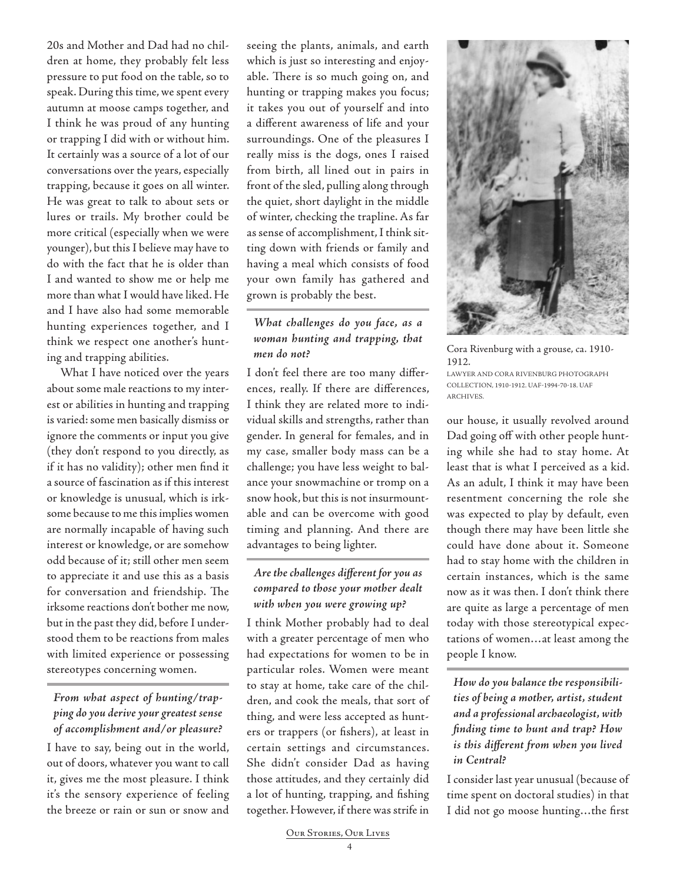20s and Mother and Dad had no children at home, they probably felt less pressure to put food on the table, so to speak. During this time, we spent every autumn at moose camps together, and I think he was proud of any hunting or trapping I did with or without him. It certainly was a source of a lot of our conversations over the years, especially trapping, because it goes on all winter. He was great to talk to about sets or lures or trails. My brother could be more critical (especially when we were younger), but this I believe may have to do with the fact that he is older than I and wanted to show me or help me more than what I would have liked. He and I have also had some memorable hunting experiences together, and I think we respect one another's hunting and trapping abilities.

What I have noticed over the years about some male reactions to my interest or abilities in hunting and trapping is varied: some men basically dismiss or ignore the comments or input you give (they don't respond to you directly, as if it has no validity); other men find it a source of fascination as if this interest or knowledge is unusual, which is irksome because to me this implies women are normally incapable of having such interest or knowledge, or are somehow odd because of it; still other men seem to appreciate it and use this as a basis for conversation and friendship. The irksome reactions don't bother me now, but in the past they did, before I understood them to be reactions from males with limited experience or possessing stereotypes concerning women.

## *From what aspect of hunting/trapping do you derive your greatest sense of accomplishment and/or pleasure?*

I have to say, being out in the world, out of doors, whatever you want to call it, gives me the most pleasure. I think it's the sensory experience of feeling the breeze or rain or sun or snow and

seeing the plants, animals, and earth which is just so interesting and enjoyable. There is so much going on, and hunting or trapping makes you focus; it takes you out of yourself and into a different awareness of life and your surroundings. One of the pleasures I really miss is the dogs, ones I raised from birth, all lined out in pairs in front of the sled, pulling along through the quiet, short daylight in the middle of winter, checking the trapline. As far as sense of accomplishment, I think sitting down with friends or family and having a meal which consists of food your own family has gathered and grown is probably the best.

## *What challenges do you face, as a woman hunting and trapping, that men do not?*

I don't feel there are too many differences, really. If there are differences, I think they are related more to individual skills and strengths, rather than gender. In general for females, and in my case, smaller body mass can be a challenge; you have less weight to balance your snowmachine or tromp on a snow hook, but this is not insurmountable and can be overcome with good timing and planning. And there are advantages to being lighter.

## *Are the challenges different for you as compared to those your mother dealt with when you were growing up?*

I think Mother probably had to deal with a greater percentage of men who had expectations for women to be in particular roles. Women were meant to stay at home, take care of the children, and cook the meals, that sort of thing, and were less accepted as hunters or trappers (or fishers), at least in certain settings and circumstances. She didn't consider Dad as having those attitudes, and they certainly did a lot of hunting, trapping, and fishing together. However, if there was strife in



Cora Rivenburg with a grouse, ca. 1910- 1912. LAWYER AND CORA RIVENBURG PHOTOGRAPH COLLECTION, 1910-1912. UAF-1994-70-18. UAF ARCHIVES.

our house, it usually revolved around Dad going off with other people hunting while she had to stay home. At least that is what I perceived as a kid. As an adult, I think it may have been resentment concerning the role she was expected to play by default, even though there may have been little she could have done about it. Someone had to stay home with the children in certain instances, which is the same now as it was then. I don't think there are quite as large a percentage of men today with those stereotypical expectations of women…at least among the people I know.

*How do you balance the responsibilities of being a mother, artist, student and a professional archaeologist, with finding time to hunt and trap? How is this different from when you lived in Central?* 

I consider last year unusual (because of time spent on doctoral studies) in that I did not go moose hunting…the first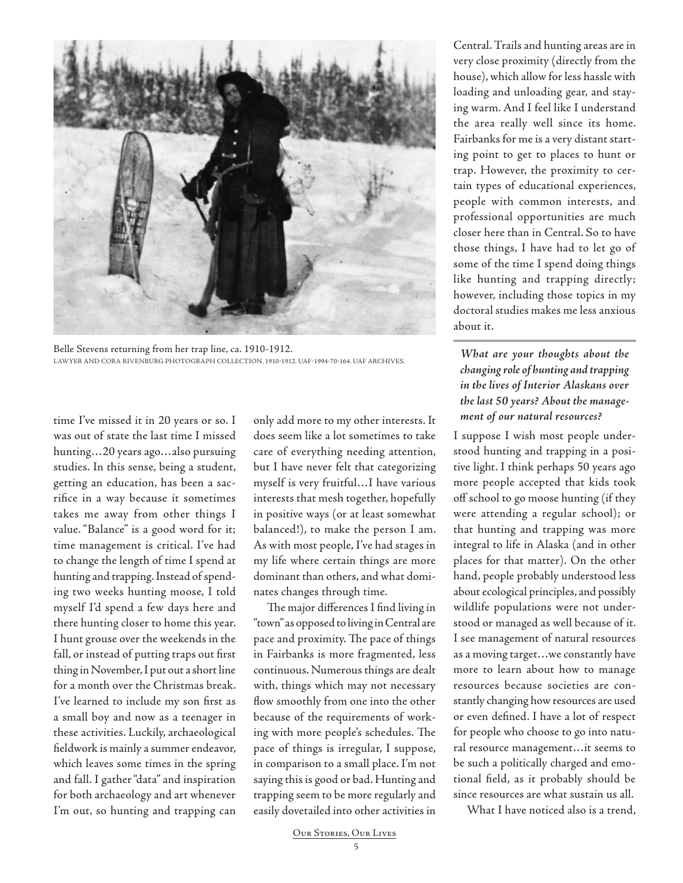

Belle Stevens returning from her trap line, ca. 1910-1912. LAWYER AND CORA RIVENBURG PHOTOGRAPH COLLECTION, 1910-1912. UAF-1994-70-164. UAF ARCHIVES.

time I've missed it in 20 years or so. I was out of state the last time I missed hunting…20 years ago…also pursuing studies. In this sense, being a student, getting an education, has been a sacrifice in a way because it sometimes takes me away from other things I value. "Balance" is a good word for it; time management is critical. I've had to change the length of time I spend at hunting and trapping. Instead of spending two weeks hunting moose, I told myself I'd spend a few days here and there hunting closer to home this year. I hunt grouse over the weekends in the fall, or instead of putting traps out first thing in November, I put out a short line for a month over the Christmas break. I've learned to include my son first as a small boy and now as a teenager in these activities. Luckily, archaeological fieldwork is mainly a summer endeavor, which leaves some times in the spring and fall. I gather "data" and inspiration for both archaeology and art whenever I'm out, so hunting and trapping can only add more to my other interests. It does seem like a lot sometimes to take care of everything needing attention, but I have never felt that categorizing myself is very fruitful…I have various interests that mesh together, hopefully in positive ways (or at least somewhat balanced!), to make the person I am. As with most people, I've had stages in my life where certain things are more dominant than others, and what dominates changes through time.

The major differences I find living in "town" as opposed to living in Central are pace and proximity. The pace of things in Fairbanks is more fragmented, less continuous. Numerous things are dealt with, things which may not necessary flow smoothly from one into the other because of the requirements of working with more people's schedules. The pace of things is irregular, I suppose, in comparison to a small place. I'm not saying this is good or bad. Hunting and trapping seem to be more regularly and easily dovetailed into other activities in

Central. Trails and hunting areas are in very close proximity (directly from the house), which allow for less hassle with loading and unloading gear, and staying warm. And I feel like I understand the area really well since its home. Fairbanks for me is a very distant starting point to get to places to hunt or trap. However, the proximity to certain types of educational experiences, people with common interests, and professional opportunities are much closer here than in Central. So to have those things, I have had to let go of some of the time I spend doing things like hunting and trapping directly; however, including those topics in my doctoral studies makes me less anxious about it.

## *What are your thoughts about the changing role of hunting and trapping in the lives of Interior Alaskans over the last 50 years? About the management of our natural resources?*

I suppose I wish most people understood hunting and trapping in a positive light. I think perhaps 50 years ago more people accepted that kids took off school to go moose hunting (if they were attending a regular school); or that hunting and trapping was more integral to life in Alaska (and in other places for that matter). On the other hand, people probably understood less about ecological principles, and possibly wildlife populations were not understood or managed as well because of it. I see management of natural resources as a moving target…we constantly have more to learn about how to manage resources because societies are constantly changing how resources are used or even defined. I have a lot of respect for people who choose to go into natural resource management…it seems to be such a politically charged and emotional field, as it probably should be since resources are what sustain us all.

What I have noticed also is a trend.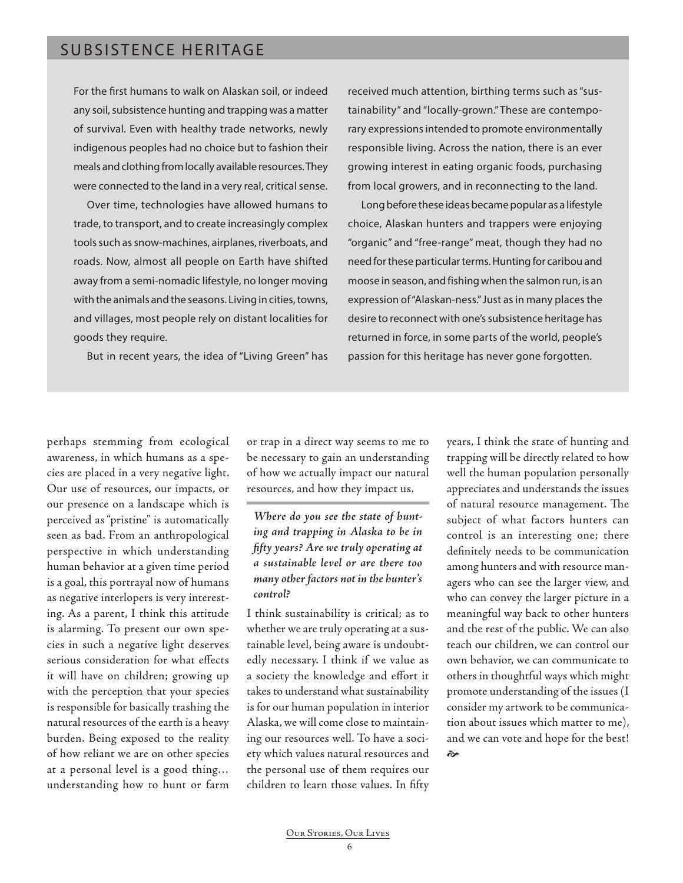## SUBSISTENCE HERITAGE

For the first humans to walk on Alaskan soil, or indeed any soil, subsistence hunting and trapping was a matter of survival. Even with healthy trade networks, newly indigenous peoples had no choice but to fashion their meals and clothing from locally available resources. They were connected to the land in a very real, critical sense.

Over time, technologies have allowed humans to trade, to transport, and to create increasingly complex tools such as snow-machines, airplanes, riverboats, and roads. Now, almost all people on Earth have shifted away from a semi-nomadic lifestyle, no longer moving with the animals and the seasons. Living in cities, towns, and villages, most people rely on distant localities for goods they require.

But in recent years, the idea of "Living Green" has

received much attention, birthing terms such as "sustainability" and "locally-grown." These are contemporary expressions intended to promote environmentally responsible living. Across the nation, there is an ever growing interest in eating organic foods, purchasing from local growers, and in reconnecting to the land.

Long before these ideas became popular as a lifestyle choice, Alaskan hunters and trappers were enjoying "organic" and "free-range" meat, though they had no need for these particular terms. Hunting for caribou and moose in season, and fishing when the salmon run, is an expression of "Alaskan-ness." Just as in many places the desire to reconnect with one's subsistence heritage has returned in force, in some parts of the world, people's passion for this heritage has never gone forgotten.

perhaps stemming from ecological awareness, in which humans as a species are placed in a very negative light. Our use of resources, our impacts, or our presence on a landscape which is perceived as "pristine" is automatically seen as bad. From an anthropological perspective in which understanding human behavior at a given time period is a goal, this portrayal now of humans as negative interlopers is very interesting. As a parent, I think this attitude is alarming. To present our own species in such a negative light deserves serious consideration for what effects it will have on children; growing up with the perception that your species is responsible for basically trashing the natural resources of the earth is a heavy burden. Being exposed to the reality of how reliant we are on other species at a personal level is a good thing… understanding how to hunt or farm

or trap in a direct way seems to me to be necessary to gain an understanding of how we actually impact our natural resources, and how they impact us.

## *Where do you see the state of hunting and trapping in Alaska to be in fifty years? Are we truly operating at a sustainable level or are there too many other factors not in the hunter's control?*

I think sustainability is critical; as to whether we are truly operating at a sustainable level, being aware is undoubtedly necessary. I think if we value as a society the knowledge and effort it takes to understand what sustainability is for our human population in interior Alaska, we will come close to maintaining our resources well. To have a society which values natural resources and the personal use of them requires our children to learn those values. In fifty

years, I think the state of hunting and trapping will be directly related to how well the human population personally appreciates and understands the issues of natural resource management. The subject of what factors hunters can control is an interesting one; there definitely needs to be communication among hunters and with resource managers who can see the larger view, and who can convey the larger picture in a meaningful way back to other hunters and the rest of the public. We can also teach our children, we can control our own behavior, we can communicate to others in thoughtful ways which might promote understanding of the issues (I consider my artwork to be communication about issues which matter to me), and we can vote and hope for the best! જે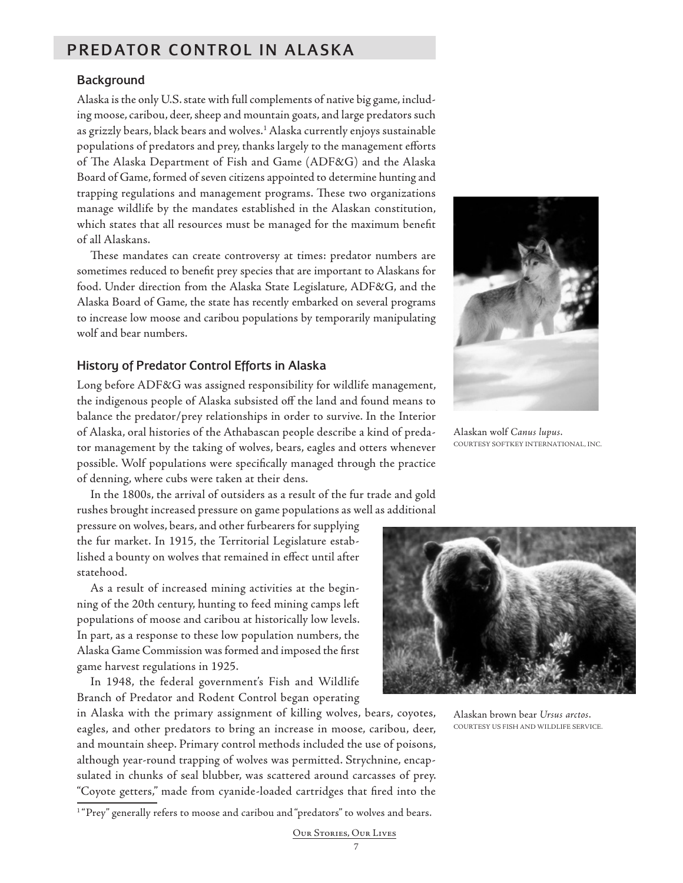# PREDATOR CONTROL IN ALASKA

## **Background**

Alaska is the only U.S. state with full complements of native big game, including moose, caribou, deer, sheep and mountain goats, and large predators such as grizzly bears, black bears and wolves.1 Alaska currently enjoys sustainable populations of predators and prey, thanks largely to the management efforts of The Alaska Department of Fish and Game (ADF&G) and the Alaska Board of Game, formed of seven citizens appointed to determine hunting and trapping regulations and management programs. These two organizations manage wildlife by the mandates established in the Alaskan constitution, which states that all resources must be managed for the maximum benefit of all Alaskans.

These mandates can create controversy at times: predator numbers are sometimes reduced to benefit prey species that are important to Alaskans for food. Under direction from the Alaska State Legislature, ADF&G, and the Alaska Board of Game, the state has recently embarked on several programs to increase low moose and caribou populations by temporarily manipulating wolf and bear numbers.

#### History of Predator Control Efforts in Alaska

Long before ADF&G was assigned responsibility for wildlife management, the indigenous people of Alaska subsisted off the land and found means to balance the predator/prey relationships in order to survive. In the Interior of Alaska, oral histories of the Athabascan people describe a kind of predator management by the taking of wolves, bears, eagles and otters whenever possible. Wolf populations were specifically managed through the practice of denning, where cubs were taken at their dens.

In the 1800s, the arrival of outsiders as a result of the fur trade and gold rushes brought increased pressure on game populations as well as additional

pressure on wolves, bears, and other furbearers for supplying the fur market. In 1915, the Territorial Legislature established a bounty on wolves that remained in effect until after statehood.

As a result of increased mining activities at the beginning of the 20th century, hunting to feed mining camps left populations of moose and caribou at historically low levels. In part, as a response to these low population numbers, the Alaska Game Commission was formed and imposed the first game harvest regulations in 1925.

In 1948, the federal government's Fish and Wildlife Branch of Predator and Rodent Control began operating

in Alaska with the primary assignment of killing wolves, bears, coyotes, eagles, and other predators to bring an increase in moose, caribou, deer, and mountain sheep. Primary control methods included the use of poisons, although year-round trapping of wolves was permitted. Strychnine, encapsulated in chunks of seal blubber, was scattered around carcasses of prey. "Coyote getters," made from cyanide-loaded cartridges that fired into the



Alaskan wolf *Canus lupus*. COURTESY SOFTKEY INTERNATIONAL, INC.



Alaskan brown bear *Ursus arctos*. COURTESY US FISH AND WILDLIFE SERVICE.

7

<sup>&</sup>lt;sup>1</sup> "Prey" generally refers to moose and caribou and "predators" to wolves and bears.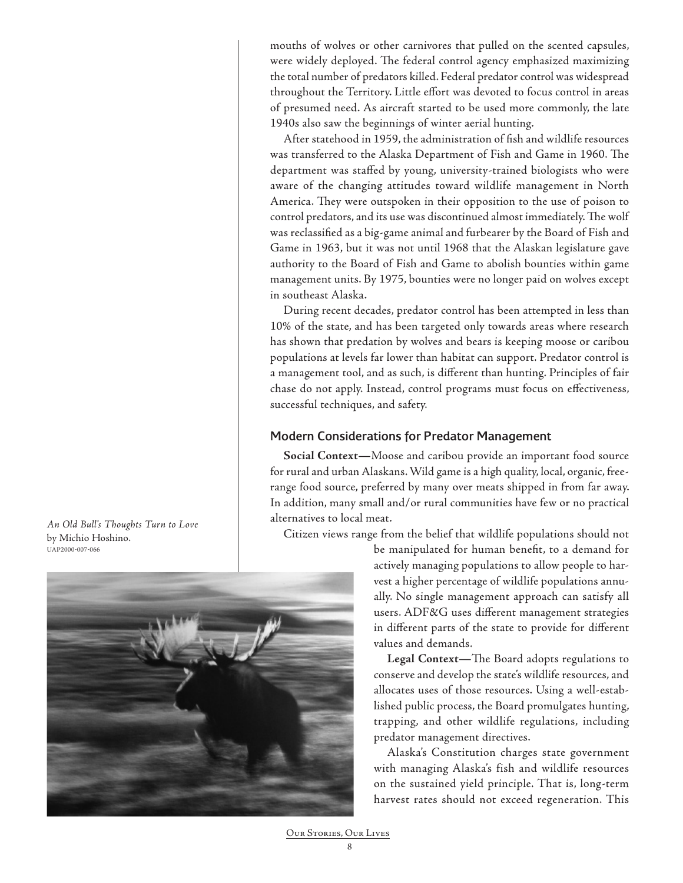mouths of wolves or other carnivores that pulled on the scented capsules, were widely deployed. The federal control agency emphasized maximizing the total number of predators killed. Federal predator control was widespread throughout the Territory. Little effort was devoted to focus control in areas of presumed need. As aircraft started to be used more commonly, the late 1940s also saw the beginnings of winter aerial hunting.

After statehood in 1959, the administration of fish and wildlife resources was transferred to the Alaska Department of Fish and Game in 1960. The department was staffed by young, university-trained biologists who were aware of the changing attitudes toward wildlife management in North America. They were outspoken in their opposition to the use of poison to control predators, and its use was discontinued almost immediately. The wolf was reclassified as a big-game animal and furbearer by the Board of Fish and Game in 1963, but it was not until 1968 that the Alaskan legislature gave authority to the Board of Fish and Game to abolish bounties within game management units. By 1975, bounties were no longer paid on wolves except in southeast Alaska.

During recent decades, predator control has been attempted in less than 10% of the state, and has been targeted only towards areas where research has shown that predation by wolves and bears is keeping moose or caribou populations at levels far lower than habitat can support. Predator control is a management tool, and as such, is different than hunting. Principles of fair chase do not apply. Instead, control programs must focus on effectiveness, successful techniques, and safety.

## Modern Considerations for Predator Management

**Social Context—**Moose and caribou provide an important food source for rural and urban Alaskans. Wild game is a high quality, local, organic, freerange food source, preferred by many over meats shipped in from far away. In addition, many small and/or rural communities have few or no practical alternatives to local meat.

Citizen views range from the belief that wildlife populations should not

be manipulated for human benefit, to a demand for actively managing populations to allow people to harvest a higher percentage of wildlife populations annually. No single management approach can satisfy all users. ADF&G uses different management strategies in different parts of the state to provide for different values and demands.

**Legal Context—**The Board adopts regulations to conserve and develop the state's wildlife resources, and allocates uses of those resources. Using a well-established public process, the Board promulgates hunting, trapping, and other wildlife regulations, including predator management directives.

Alaska's Constitution charges state government with managing Alaska's fish and wildlife resources on the sustained yield principle. That is, long-term harvest rates should not exceed regeneration. This

*An Old Bull's Thoughts Turn to Love* by Michio Hoshino. UAP2000-007-066

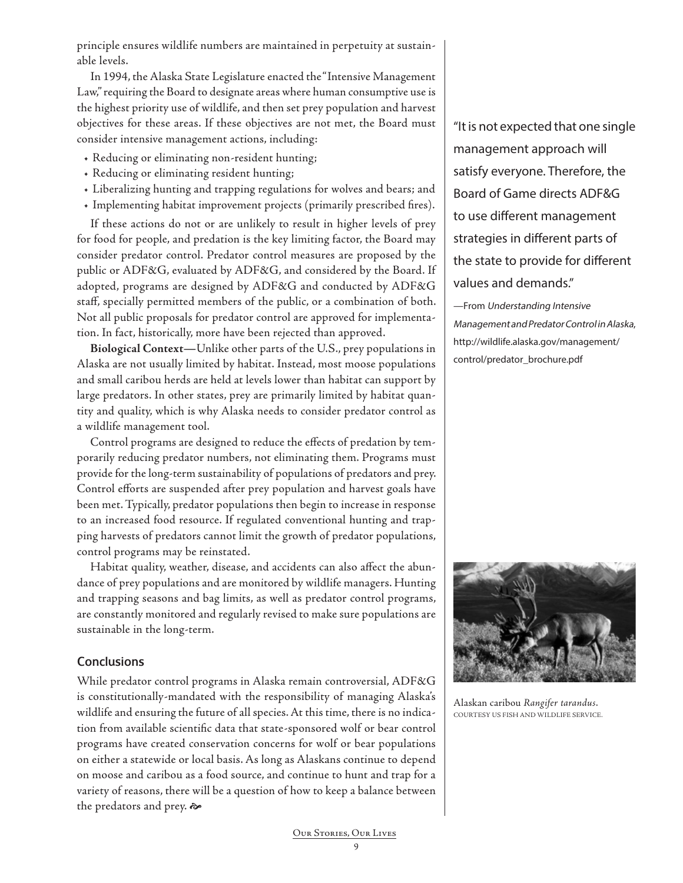principle ensures wildlife numbers are maintained in perpetuity at sustainable levels.

In 1994, the Alaska State Legislature enacted the "Intensive Management Law," requiring the Board to designate areas where human consumptive use is the highest priority use of wildlife, and then set prey population and harvest objectives for these areas. If these objectives are not met, the Board must consider intensive management actions, including:

- Reducing or eliminating non-resident hunting;
- Reducing or eliminating resident hunting;
- Liberalizing hunting and trapping regulations for wolves and bears; and
- Implementing habitat improvement projects (primarily prescribed fires).

If these actions do not or are unlikely to result in higher levels of prey for food for people, and predation is the key limiting factor, the Board may consider predator control. Predator control measures are proposed by the public or ADF&G, evaluated by ADF&G, and considered by the Board. If adopted, programs are designed by ADF&G and conducted by ADF&G staff, specially permitted members of the public, or a combination of both. Not all public proposals for predator control are approved for implementation. In fact, historically, more have been rejected than approved.

**Biological Context—**Unlike other parts of the U.S., prey populations in Alaska are not usually limited by habitat. Instead, most moose populations and small caribou herds are held at levels lower than habitat can support by large predators. In other states, prey are primarily limited by habitat quantity and quality, which is why Alaska needs to consider predator control as a wildlife management tool.

Control programs are designed to reduce the effects of predation by temporarily reducing predator numbers, not eliminating them. Programs must provide for the long-term sustainability of populations of predators and prey. Control efforts are suspended after prey population and harvest goals have been met. Typically, predator populations then begin to increase in response to an increased food resource. If regulated conventional hunting and trapping harvests of predators cannot limit the growth of predator populations, control programs may be reinstated.

Habitat quality, weather, disease, and accidents can also affect the abundance of prey populations and are monitored by wildlife managers. Hunting and trapping seasons and bag limits, as well as predator control programs, are constantly monitored and regularly revised to make sure populations are sustainable in the long-term.

## **Conclusions**

While predator control programs in Alaska remain controversial, ADF&G is constitutionally-mandated with the responsibility of managing Alaska's wildlife and ensuring the future of all species. At this time, there is no indication from available scientific data that state-sponsored wolf or bear control programs have created conservation concerns for wolf or bear populations on either a statewide or local basis. As long as Alaskans continue to depend on moose and caribou as a food source, and continue to hunt and trap for a variety of reasons, there will be a question of how to keep a balance between the predators and prey.

"It is not expected that one single management approach will satisfy everyone. Therefore, the Board of Game directs ADF&G to use different management strategies in different parts of the state to provide for different values and demands."

—From Understanding Intensive Management and Predator Control in Alaska, http://wildlife.alaska.gov/management/ control/predator\_brochure.pdf



Alaskan caribou *Rangifer tarandus*. COURTESY US FISH AND WILDLIFE SERVICE.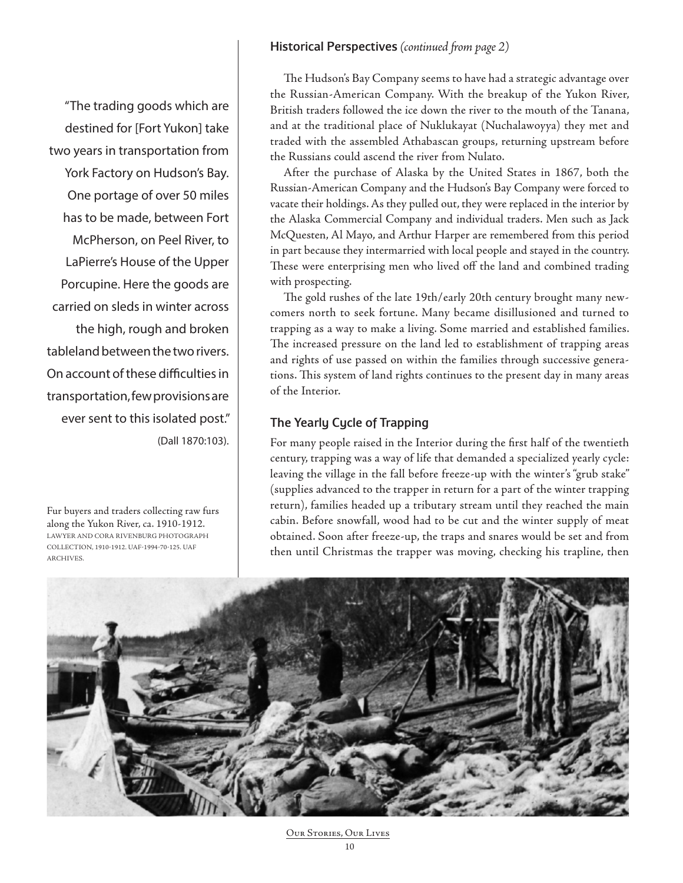#### Historical Perspectives *(continued from page 2)*

"The trading goods which are destined for [Fort Yukon] take two years in transportation from York Factory on Hudson's Bay. One portage of over 50 miles has to be made, between Fort McPherson, on Peel River, to LaPierre's House of the Upper Porcupine. Here the goods are carried on sleds in winter across the high, rough and broken tableland between the two rivers. On account of these difficulties in transportation, few provisions are ever sent to this isolated post." (Dall 1870:103).

Fur buyers and traders collecting raw furs along the Yukon River, ca. 1910-1912. LAWYER AND CORA RIVENBURG PHOTOGRAPH COLLECTION, 1910-1912. UAF-1994-70-125. UAF ARCHIVES.

The Hudson's Bay Company seems to have had a strategic advantage over the Russian-American Company. With the breakup of the Yukon River, British traders followed the ice down the river to the mouth of the Tanana, and at the traditional place of Nuklukayat (Nuchalawoyya) they met and traded with the assembled Athabascan groups, returning upstream before the Russians could ascend the river from Nulato.

After the purchase of Alaska by the United States in 1867, both the Russian-American Company and the Hudson's Bay Company were forced to vacate their holdings. As they pulled out, they were replaced in the interior by the Alaska Commercial Company and individual traders. Men such as Jack McQuesten, Al Mayo, and Arthur Harper are remembered from this period in part because they intermarried with local people and stayed in the country. These were enterprising men who lived off the land and combined trading with prospecting.

The gold rushes of the late 19th/early 20th century brought many newcomers north to seek fortune. Many became disillusioned and turned to trapping as a way to make a living. Some married and established families. The increased pressure on the land led to establishment of trapping areas and rights of use passed on within the families through successive generations. This system of land rights continues to the present day in many areas of the Interior.

## The Yearly Cycle of Trapping

For many people raised in the Interior during the first half of the twentieth century, trapping was a way of life that demanded a specialized yearly cycle: leaving the village in the fall before freeze-up with the winter's "grub stake" (supplies advanced to the trapper in return for a part of the winter trapping return), families headed up a tributary stream until they reached the main cabin. Before snowfall, wood had to be cut and the winter supply of meat obtained. Soon after freeze-up, the traps and snares would be set and from then until Christmas the trapper was moving, checking his trapline, then

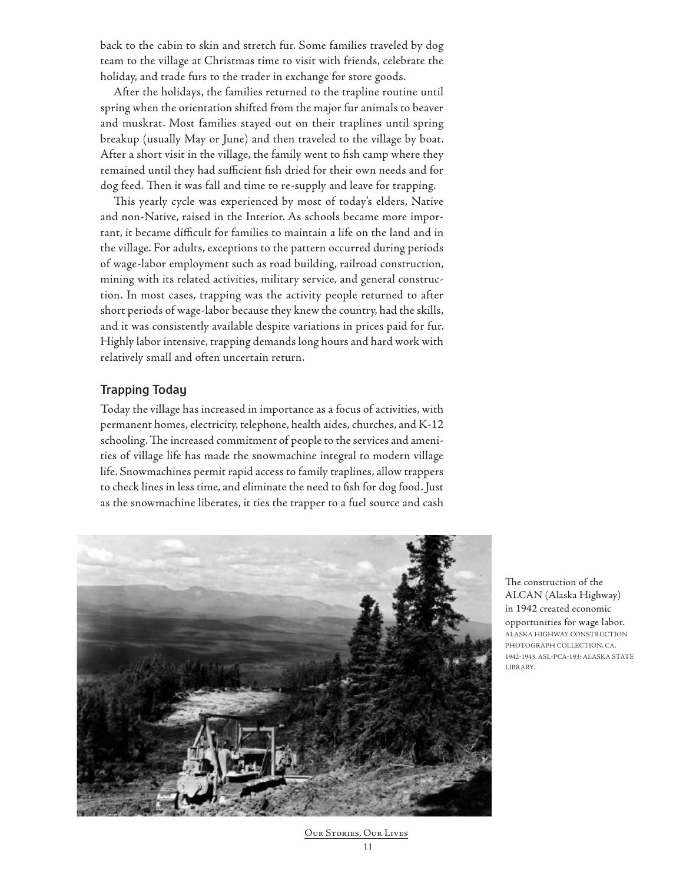back to the cabin to skin and stretch fur. Some families traveled by dog team to the village at Christmas time to visit with friends, celebrate the holiday, and trade furs to the trader in exchange for store goods.

After the holidays, the families returned to the trapline routine until spring when the orientation shifted from the major fur animals to beaver and muskrat. Most families stayed out on their traplines until spring breakup (usually May or June) and then traveled to the village by boat. After a short visit in the village, the family went to fish camp where they remained until they had sufficient fish dried for their own needs and for dog feed. Then it was fall and time to re-supply and leave for trapping.

This yearly cycle was experienced by most of today's elders, Native and non-Native, raised in the Interior. As schools became more important, it became difficult for families to maintain a life on the land and in the village. For adults, exceptions to the pattern occurred during periods of wage-labor employment such as road building, railroad construction, mining with its related activities, military service, and general construction. In most cases, trapping was the activity people returned to after short periods of wage-labor because they knew the country, had the skills, and it was consistently available despite variations in prices paid for fur. Highly labor intensive, trapping demands long hours and hard work with relatively small and often uncertain return.

## Trapping Today

Today the village has increased in importance as a focus of activities, with permanent homes, electricity, telephone, health aides, churches, and K-12 schooling. The increased commitment of people to the services and amenities of village life has made the snowmachine integral to modern village life. Snowmachines permit rapid access to family traplines, allow trappers to check lines in less time, and eliminate the need to fish for dog food. Just as the snowmachine liberates, it ties the trapper to a fuel source and cash



The construction of the ALCAN (Alaska Highway) in 1942 created economic opportunities for wage labor. ALASKA HIGHWAY CONSTRUCTION PHOTOGRAPH COLLECTION, CA. 1942-1943. ASL-PCA-193; ALASKA STATE LIBRARY.

Our Stories, Our Lives 11